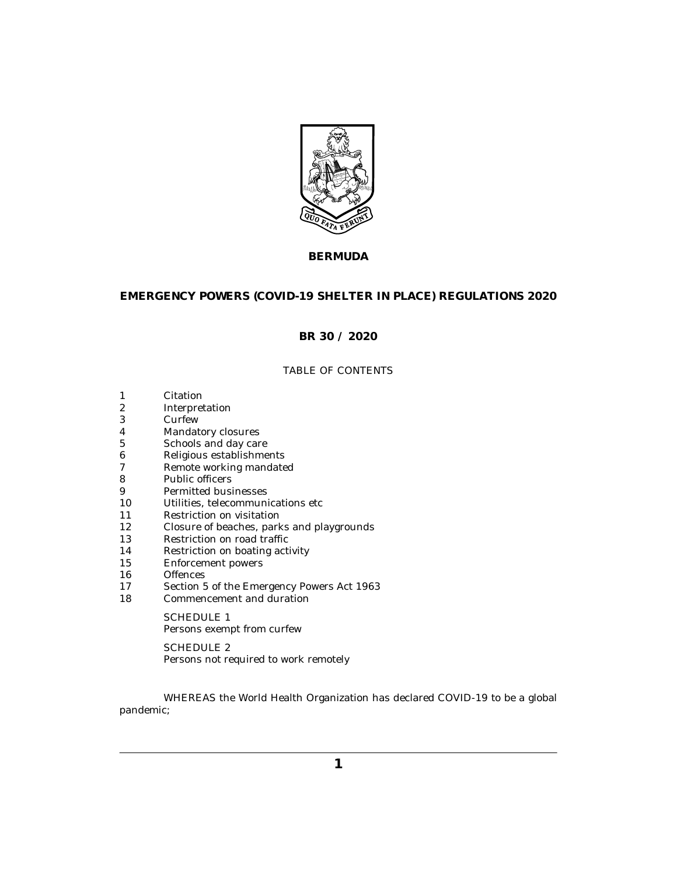

# **BERMUDA**

# **EMERGENCY POWERS (COVID-19 SHELTER IN PLACE) REGULATIONS 2020**

# **BR 30 / 2020**

# TABLE OF CONTENTS

- [Citation](#page-1-0) 1
- [Interpretation](#page-1-0) 2
- [Curfew](#page-1-0) 3
- [Mandatory closures](#page-2-0) 4
- [Schools and day care](#page-2-0) 5
- [Religious establishments](#page-3-0) 6
- [Remote working mandated](#page-3-0) 7
- [Public officers](#page-3-0) 8
- [Permitted businesses](#page-3-0) 9
- [Utilities, telecommunications etc](#page-4-0) 10
- [Restriction on visitation](#page-4-0) 11
- [Closure of beaches, parks and playgrounds](#page-4-0) 12
- [Restriction on road traffic](#page-4-0) 13
- [Restriction on boating activity](#page-4-0) 14
- [Enforcement powers](#page-5-0) 15
- **[Offences](#page-5-0)** 16
- [Section 5 of the Emergency Powers Act 1963](#page-5-0) 17
- [Commencement and duration](#page-5-0) 18

SCHEDULE 1 [Persons exempt from curfew](#page-6-0)

SCHEDULE 2 [Persons not required to work remotely](#page-8-0)

WHEREAS the World Health Organization has declared COVID-19 to be a global pandemic;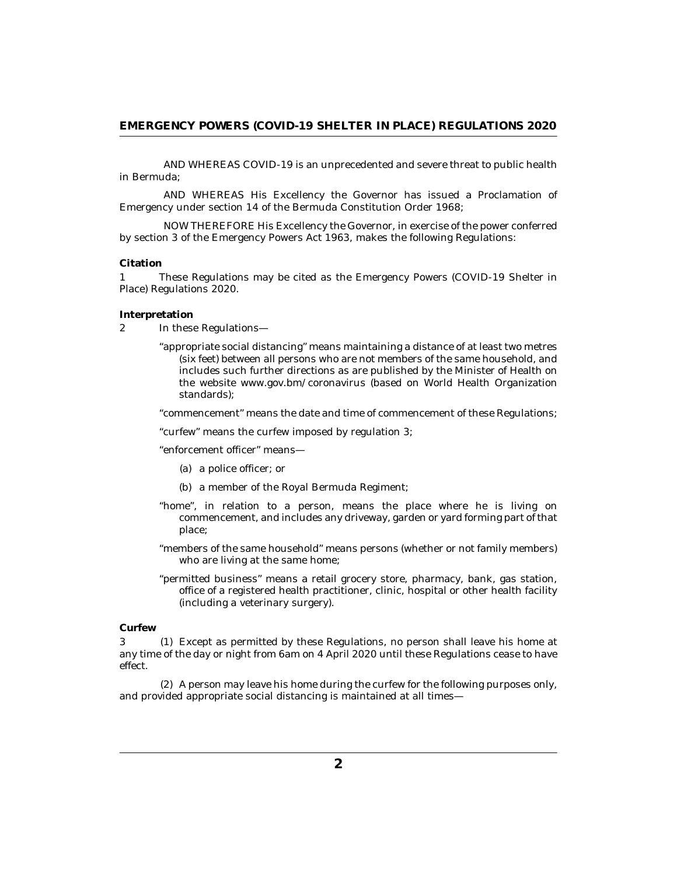<span id="page-1-0"></span>AND WHEREAS COVID-19 is an unprecedented and severe threat to public health in Bermuda;

AND WHEREAS His Excellency the Governor has issued a Proclamation of Emergency under section 14 of the Bermuda Constitution Order 1968;

NOW THEREFORE His Excellency the Governor, in exercise of the power conferred by section 3 of the Emergency Powers Act 1963, makes the following Regulations:

#### **Citation**

These Regulations may be cited as the Emergency Powers (COVID-19 Shelter in Place) Regulations 2020. 1

#### **Interpretation**

- In these Regulations— 2
	- "appropriate social distancing" means maintaining a distance of at least two metres (six feet) between all persons who are not members of the same household, and includes such further directions as are published by the Minister of Health on the website www.gov.bm/coronavirus (based on World Health Organization standards);

"commencement" means the date and time of commencement of these Regulations;

"curfew" means the curfew imposed by regulation 3;

"enforcement officer" means—

- (a) a police officer; or
- (b) a member of the Royal Bermuda Regiment;
- "home", in relation to a person, means the place where he is living on commencement, and includes any driveway, garden or yard forming part of that place;
- "members of the same household" means persons (whether or not family members) who are living at the same home;
- "permitted business" means a retail grocery store, pharmacy, bank, gas station, office of a registered health practitioner, clinic, hospital or other health facility (including a veterinary surgery).

#### **Curfew**

3 (1) Except as permitted by these Regulations, no person shall leave his home at any time of the day or night from 6am on 4 April 2020 until these Regulations cease to have effect.

A person may leave his home during the curfew for the following purposes only, (2) and provided appropriate social distancing is maintained at all times—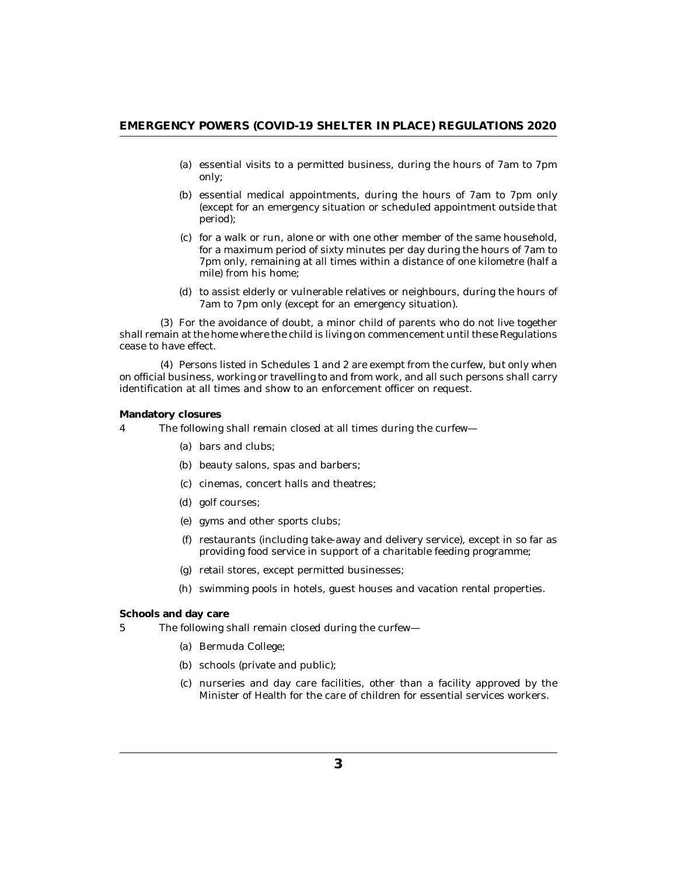- <span id="page-2-0"></span>(a) essential visits to a permitted business, during the hours of 7am to 7pm only;
- (b) essential medical appointments, during the hours of 7am to 7pm only (except for an emergency situation or scheduled appointment outside that period);
- (c) for a walk or run, alone or with one other member of the same household, for a maximum period of sixty minutes per day during the hours of 7am to 7pm only, remaining at all times within a distance of one kilometre (half a mile) from his home;
- (d) to assist elderly or vulnerable relatives or neighbours, during the hours of 7am to 7pm only (except for an emergency situation).

For the avoidance of doubt, a minor child of parents who do not live together (3) shall remain at the home where the child is living on commencement until these Regulations cease to have effect.

Persons listed in Schedules 1 and 2 are exempt from the curfew, but only when (4) on official business, working or travelling to and from work, and all such persons shall carry identification at all times and show to an enforcement officer on request.

### **Mandatory closures**

- The following shall remain closed at all times during the curfew— 4
	- bars and clubs; (a)
	- (b) beauty salons, spas and barbers;
	- cinemas, concert halls and theatres; (c)
	- golf courses; (d)
	- gyms and other sports clubs; (e)
	- (f) restaurants (including take-away and delivery service), except in so far as providing food service in support of a charitable feeding programme;
	- (g) retail stores, except permitted businesses;
	- swimming pools in hotels, guest houses and vacation rental properties. (h)

## **Schools and day care**

- The following shall remain closed during the curfew— 5
	- (a) Bermuda College;
	- schools (private and public); (b)
	- nurseries and day care facilities, other than a facility approved by the (c) Minister of Health for the care of children for essential services workers.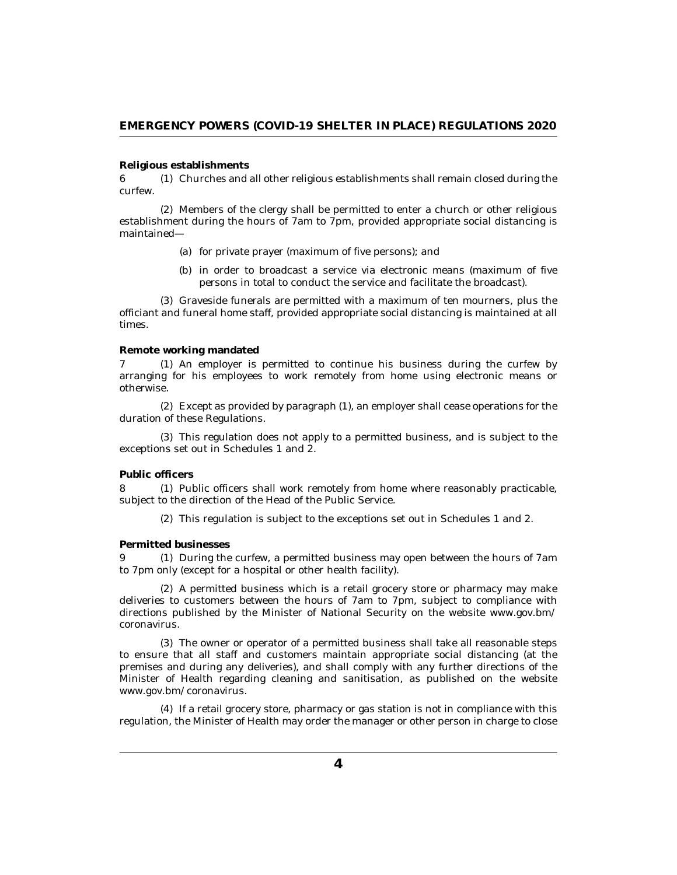#### <span id="page-3-0"></span>**Religious establishments**

 $6$  (1) Churches and all other religious establishments shall remain closed during the curfew.

Members of the clergy shall be permitted to enter a church or other religious (2) establishment during the hours of 7am to 7pm, provided appropriate social distancing is maintained—

- (a) for private prayer (maximum of five persons); and
- (b) in order to broadcast a service via electronic means (maximum of five persons in total to conduct the service and facilitate the broadcast).

(3) Graveside funerals are permitted with a maximum of ten mourners, plus the officiant and funeral home staff, provided appropriate social distancing is maintained at all times.

#### **Remote working mandated**

7 (1) An employer is permitted to continue his business during the curfew by arranging for his employees to work remotely from home using electronic means or otherwise.

Except as provided by paragraph (1), an employer shall cease operations for the (2) duration of these Regulations.

This regulation does not apply to a permitted business, and is subject to the (3) exceptions set out in Schedules 1 and 2.

## **Public officers**

8 (1) Public officers shall work remotely from home where reasonably practicable, subject to the direction of the Head of the Public Service.

(2) This regulation is subject to the exceptions set out in Schedules 1 and 2.

#### **Permitted businesses**

During the curfew, a permitted business may open between the hours of 7am 9 (1) to 7pm only (except for a hospital or other health facility).

(2) A permitted business which is a retail grocery store or pharmacy may make deliveries to customers between the hours of 7am to 7pm, subject to compliance with directions published by the Minister of National Security on the website www.gov.bm/ coronavirus.

The owner or operator of a permitted business shall take all reasonable steps (3) to ensure that all staff and customers maintain appropriate social distancing (at the premises and during any deliveries), and shall comply with any further directions of the Minister of Health regarding cleaning and sanitisation, as published on the website www.gov.bm/coronavirus.

(4) If a retail grocery store, pharmacy or gas station is not in compliance with this regulation, the Minister of Health may order the manager or other person in charge to close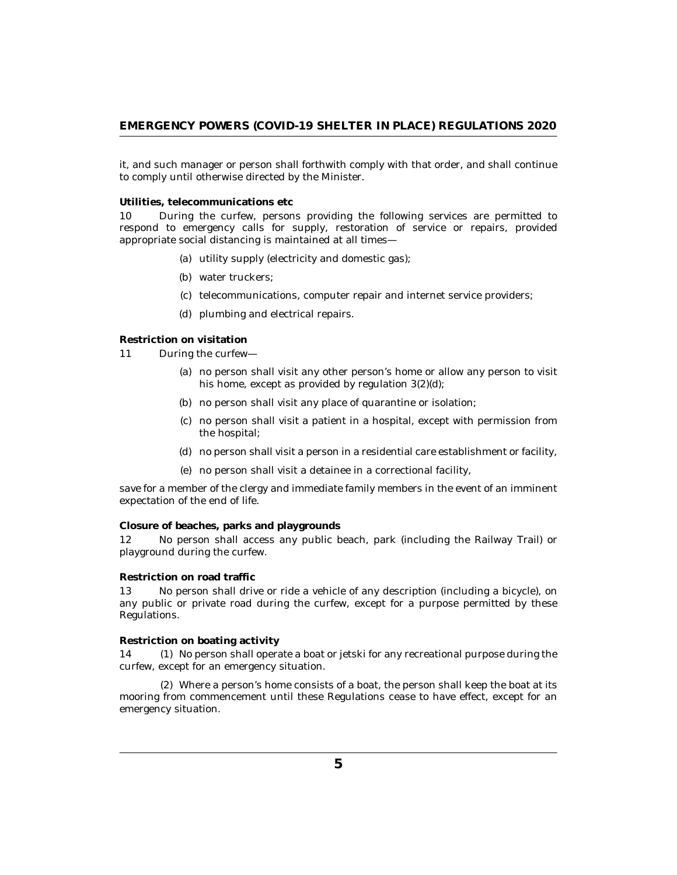<span id="page-4-0"></span>it, and such manager or person shall forthwith comply with that order, and shall continue to comply until otherwise directed by the Minister.

**Utilities, telecommunications etc**

During the curfew, persons providing the following services are permitted to respond to emergency calls for supply, restoration of service or repairs, provided appropriate social distancing is maintained at all times— 10

- (a) utility supply (electricity and domestic gas);
- (b) water truckers;
- (c) telecommunications, computer repair and internet service providers;
- (d) plumbing and electrical repairs.

**Restriction on visitation**

- During the curfew— 11
	- no person shall visit any other person's home or allow any person to visit (a) his home, except as provided by regulation 3(2)(d);
	- (b) no person shall visit any place of quarantine or isolation;
	- no person shall visit a patient in a hospital, except with permission from (c) the hospital;
	- no person shall visit a person in a residential care establishment or facility, (d)
	- no person shall visit a detainee in a correctional facility, (e)

save for a member of the clergy and immediate family members in the event of an imminent expectation of the end of life.

**Closure of beaches, parks and playgrounds**

No person shall access any public beach, park (including the Railway Trail) or playground during the curfew. 12

#### **Restriction on road traffic**

No person shall drive or ride a vehicle of any description (including a bicycle), on any public or private road during the curfew, except for a purpose permitted by these Regulations. 13

#### **Restriction on boating activity**

14 (1) No person shall operate a boat or jetski for any recreational purpose during the curfew, except for an emergency situation.

Where a person's home consists of a boat, the person shall keep the boat at its (2) mooring from commencement until these Regulations cease to have effect, except for an emergency situation.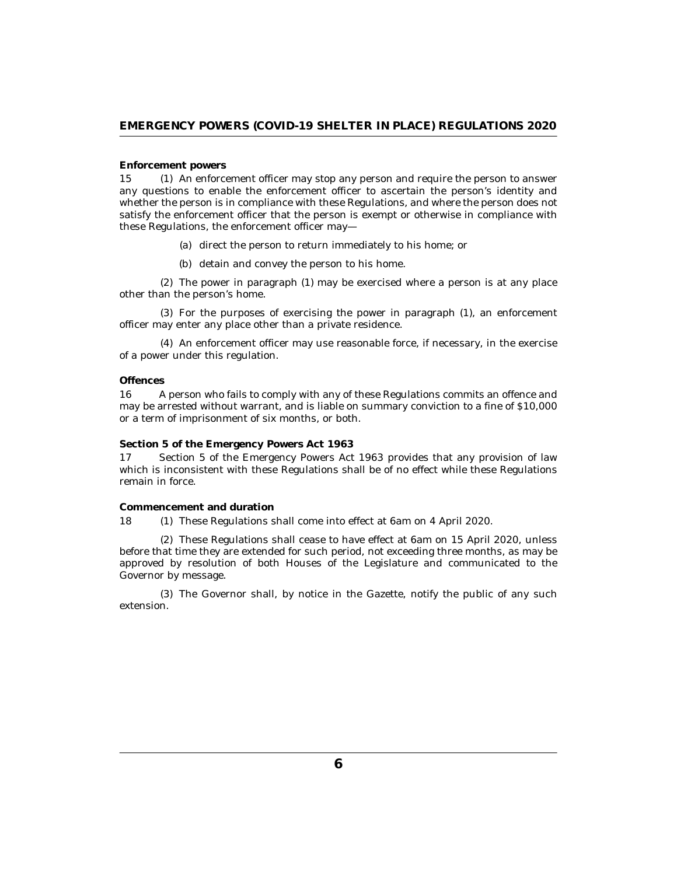#### <span id="page-5-0"></span>**Enforcement powers**

15 (1) An enforcement officer may stop any person and require the person to answer any questions to enable the enforcement officer to ascertain the person's identity and whether the person is in compliance with these Regulations, and where the person does not satisfy the enforcement officer that the person is exempt or otherwise in compliance with these Regulations, the enforcement officer may—

(a) direct the person to return immediately to his home; or

(b) detain and convey the person to his home.

The power in paragraph (1) may be exercised where a person is at any place (2) other than the person's home.

For the purposes of exercising the power in paragraph (1), an enforcement (3) officer may enter any place other than a private residence.

An enforcement officer may use reasonable force, if necessary, in the exercise (4) of a power under this regulation.

#### **Offences**

A person who fails to comply with any of these Regulations commits an offence and may be arrested without warrant, and is liable on summary conviction to a fine of \$10,000 or a term of imprisonment of six months, or both. 16

**Section 5 of the Emergency Powers Act 1963**

Section 5 of the Emergency Powers Act 1963 provides that any provision of law which is inconsistent with these Regulations shall be of no effect while these Regulations remain in force. 17

**Commencement and duration**

18 (1) These Regulations shall come into effect at 6am on 4 April 2020.

These Regulations shall cease to have effect at 6am on 15 April 2020, unless (2) before that time they are extended for such period, not exceeding three months, as may be approved by resolution of both Houses of the Legislature and communicated to the Governor by message.

The Governor shall, by notice in the Gazette, notify the public of any such (3) extension.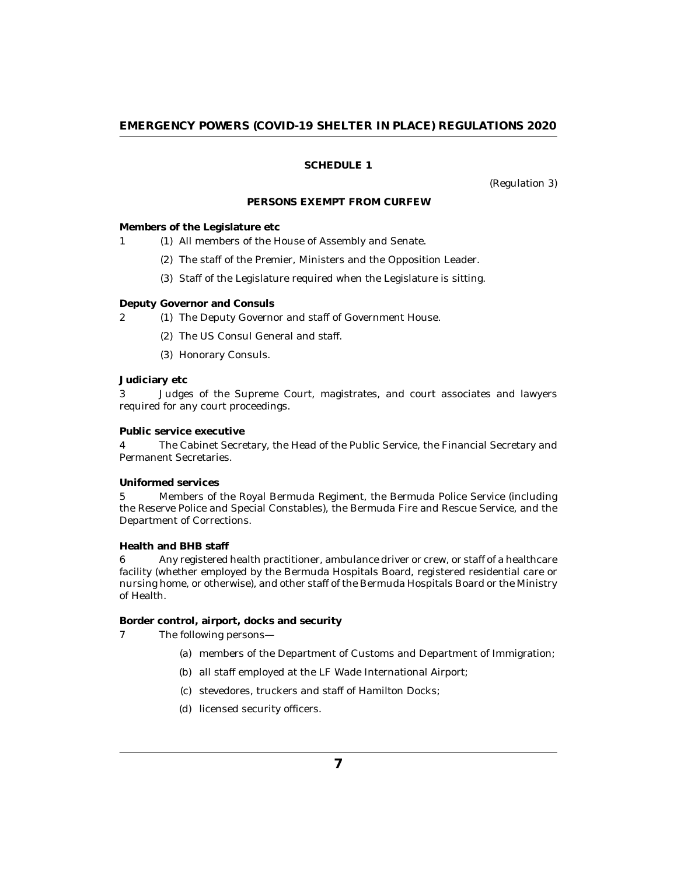# **SCHEDULE 1**

(Regulation 3)

## **PERSONS EXEMPT FROM CURFEW**

<span id="page-6-0"></span>**Members of the Legislature etc**

1 (1) All members of the House of Assembly and Senate.

- (2) The staff of the Premier, Ministers and the Opposition Leader.
- (3) Staff of the Legislature required when the Legislature is sitting.

#### **Deputy Governor and Consuls**

- 2 (1) The Deputy Governor and staff of Government House.
	- (2) The US Consul General and staff.
	- Honorary Consuls. (3)

### **Judiciary etc**

Judges of the Supreme Court, magistrates, and court associates and lawyers required for any court proceedings. 3

**Public service executive**

The Cabinet Secretary, the Head of the Public Service, the Financial Secretary and Permanent Secretaries. 4

#### **Uniformed services**

Members of the Royal Bermuda Regiment, the Bermuda Police Service (including the Reserve Police and Special Constables), the Bermuda Fire and Rescue Service, and the Department of Corrections. 5

**Health and BHB staff**

Any registered health practitioner, ambulance driver or crew, or staff of a healthcare facility (whether employed by the Bermuda Hospitals Board, registered residential care or nursing home, or otherwise), and other staff of the Bermuda Hospitals Board or the Ministry of Health. 6

**Border control, airport, docks and security**

- The following persons— 7
	- (a) members of the Department of Customs and Department of Immigration;
	- (b) all staff employed at the LF Wade International Airport;
	- stevedores, truckers and staff of Hamilton Docks; (c)
	- (d) licensed security officers.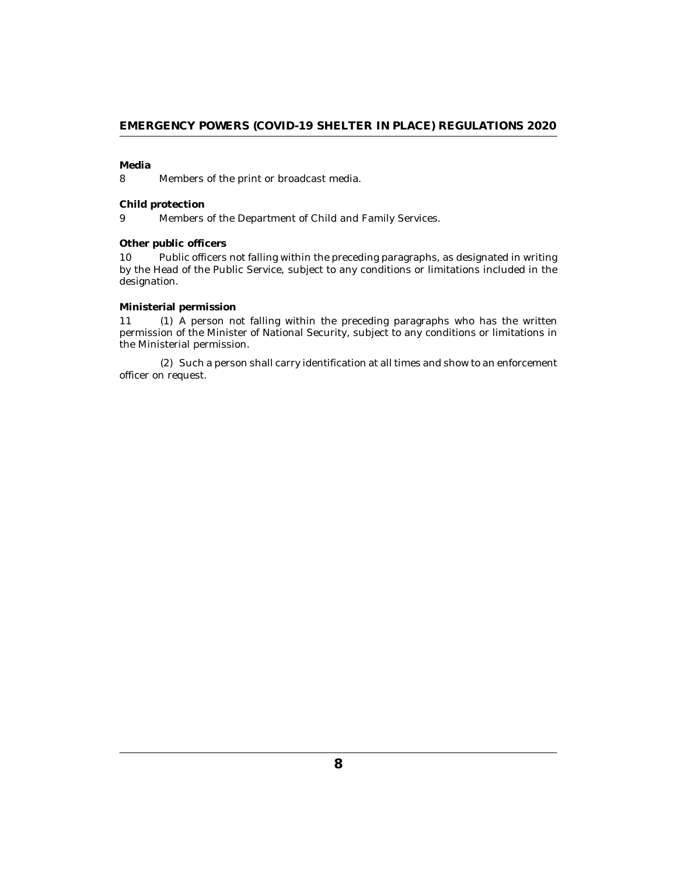# **Media**

Members of the print or broadcast media. 8

#### **Child protection**

Members of the Department of Child and Family Services. 9

# **Other public officers**

Public officers not falling within the preceding paragraphs, as designated in writing by the Head of the Public Service, subject to any conditions or limitations included in the designation. 10

# **Ministerial permission**

A person not falling within the preceding paragraphs who has the written permission of the Minister of National Security, subject to any conditions or limitations in the Ministerial permission. 11 (1)

(2) Such a person shall carry identification at all times and show to an enforcement officer on request.